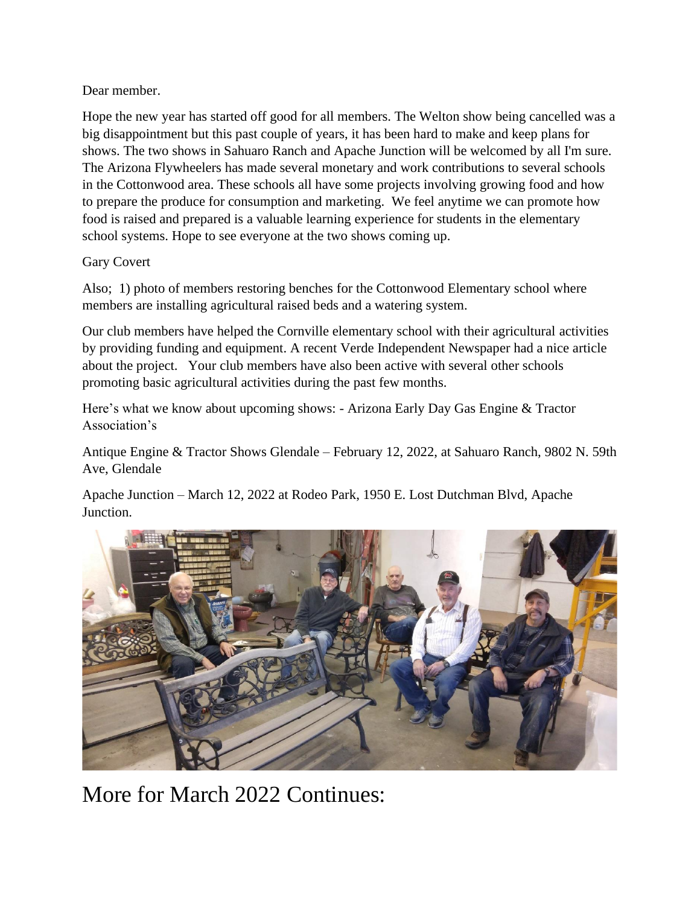Dear member.

Hope the new year has started off good for all members. The Welton show being cancelled was a big disappointment but this past couple of years, it has been hard to make and keep plans for shows. The two shows in Sahuaro Ranch and Apache Junction will be welcomed by all I'm sure. The Arizona Flywheelers has made several monetary and work contributions to several schools in the Cottonwood area. These schools all have some projects involving growing food and how to prepare the produce for consumption and marketing. We feel anytime we can promote how food is raised and prepared is a valuable learning experience for students in the elementary school systems. Hope to see everyone at the two shows coming up.

## Gary Covert

Also; 1) photo of members restoring benches for the Cottonwood Elementary school where members are installing agricultural raised beds and a watering system.

Our club members have helped the Cornville elementary school with their agricultural activities by providing funding and equipment. A recent Verde Independent Newspaper had a nice article about the project. Your club members have also been active with several other schools promoting basic agricultural activities during the past few months.

Here's what we know about upcoming shows: - Arizona Early Day Gas Engine & Tractor Association's

Antique Engine & Tractor Shows Glendale – February 12, 2022, at Sahuaro Ranch, 9802 N. 59th Ave, Glendale

Apache Junction – March 12, 2022 at Rodeo Park, 1950 E. Lost Dutchman Blvd, Apache Junction.



More for March 2022 Continues: